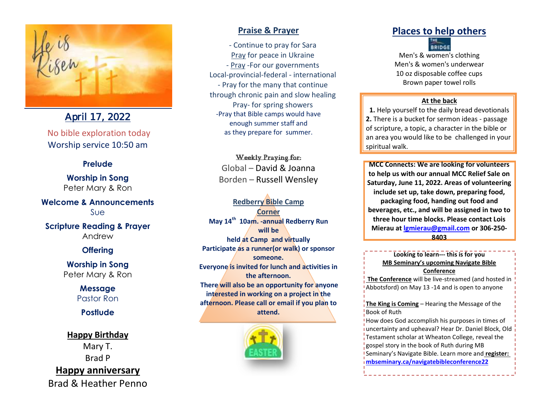

April 17, 2022

No bible exploration today Worship service 10:50 am

### **Prelude**

**Worship in Song** Peter Mary & Ron

**Welcome & Announcements** Sue

**Scripture Reading & Prayer** Andrew

## **Offering**

**Worship in Song** Peter Mary & Ron

> **Message** Pastor Ron

**Postlude**

**Happy Birthday** Mary T. Brad P **Happy anniversary** Brad & Heather Penno

## **Praise & Prayer**

- Continue to pray for Sara Pray for peace in Ukraine - Pray -For our governments Local-provincial-federal - international - Pray for the many that continue through chronic pain and slow healing Pray- for spring showers -Pray that Bible camps would have enough summer staff and as they prepare for summer.

Weekly Praying for: Global – David & Joanna Borden – Russell Wensley

**Redberry Bible Camp Corner May 14th 10am. -annual Redberry Run will be held at Camp and virtually Participate as a runner(or walk) or sponsor someone. Everyone is invited for lunch and activities in the afternoon. There will also be an opportunity for anyone interested in working on a project in the afternoon. Please call or email if you plan to attend.**



# **Places to help others BRIDGE**

Men's & women's clothing Men's & women's underwear 10 oz disposable coffee cups Brown paper towel rolls

#### **At the back**

**1.** Help yourself to the daily bread devotionals **2.** There is a bucket for sermon ideas - passage of scripture, a topic, a character in the bible or an area you would like to be challenged in your spiritual walk.

**MCC Connects: We are looking for volunteers to help us with our annual MCC Relief Sale on Saturday, June 11, 2022. Areas of volunteering include set up, take down, preparing food, packaging food, handing out food and beverages, etc., and will be assigned in two to three hour time blocks. Please contact Lois Mierau at [lgmierau@gmail.com](mailto:lgmierau@gmail.com) or 306-250- 8403**

**Looking to learn--- this is for you MB Seminary's upcoming Navigate Bible Conference**

**The Conference** will be live-streamed (and hosted in Abbotsford) on May 13 -14 and is open to anyone

**The King is Coming** – Hearing the Message of the Book of Ruth

How does God accomplish his purposes in times of uncertainty and upheaval? Hear Dr. Daniel Block, Old Testament scholar at Wheaton College, reveal the gospel story in the book of Ruth during MB Seminary's Navigate Bible. Learn more and **register: [mbseminary.ca/navigatebibleconference22](https://www.mbseminary.ca/navigatebibleconference22/)**